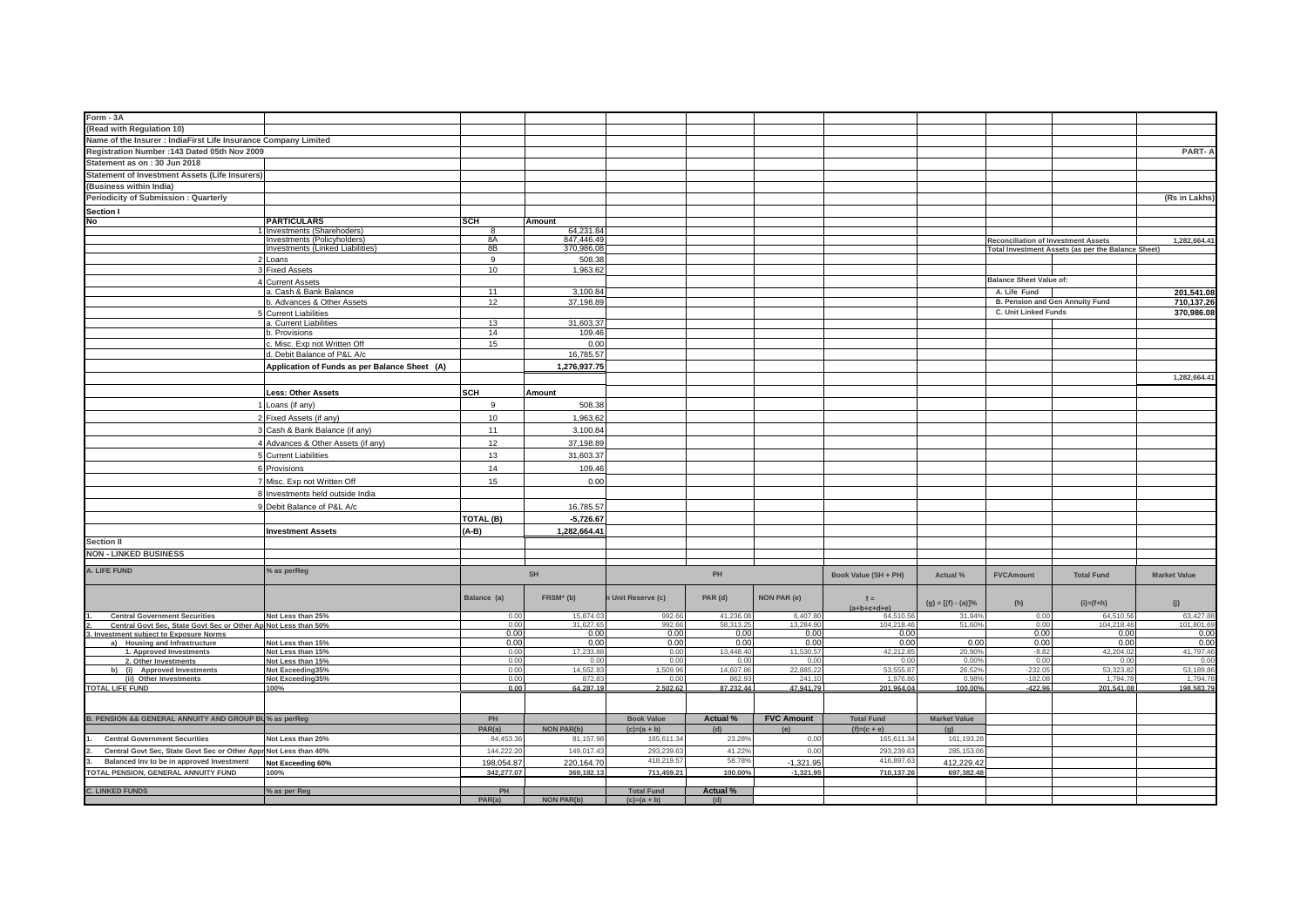| Form - 3A                                                                |                                                          |                    |                               |                   |                  |                   |                            |                       |                                            |                                                    |                     |
|--------------------------------------------------------------------------|----------------------------------------------------------|--------------------|-------------------------------|-------------------|------------------|-------------------|----------------------------|-----------------------|--------------------------------------------|----------------------------------------------------|---------------------|
| (Read with Regulation 10)                                                |                                                          |                    |                               |                   |                  |                   |                            |                       |                                            |                                                    |                     |
| Name of the Insurer : IndiaFirst Life Insurance Company Limited          |                                                          |                    |                               |                   |                  |                   |                            |                       |                                            |                                                    |                     |
| Registration Number : 143 Dated 05th Nov 2009                            |                                                          |                    |                               |                   |                  |                   |                            |                       |                                            |                                                    | PART-               |
| Statement as on: 30 Jun 2018                                             |                                                          |                    |                               |                   |                  |                   |                            |                       |                                            |                                                    |                     |
| <b>Statement of Investment Assets (Life Insurers)</b>                    |                                                          |                    |                               |                   |                  |                   |                            |                       |                                            |                                                    |                     |
| (Business within India)                                                  |                                                          |                    |                               |                   |                  |                   |                            |                       |                                            |                                                    |                     |
| Periodicity of Submission : Quarterly                                    |                                                          |                    |                               |                   |                  |                   |                            |                       |                                            |                                                    | (Rs in Lakhs        |
|                                                                          |                                                          |                    |                               |                   |                  |                   |                            |                       |                                            |                                                    |                     |
| Section I<br>No                                                          |                                                          |                    |                               |                   |                  |                   |                            |                       |                                            |                                                    |                     |
|                                                                          | <b>PARTICULARS</b>                                       | <b>SCH</b><br>8    | Amount<br>64,231.84           |                   |                  |                   |                            |                       |                                            |                                                    |                     |
|                                                                          | Investments (Sharehoders)<br>Investments (Policyholders) | 8A                 | 847,446.4                     |                   |                  |                   |                            |                       | <b>Reconciliation of Investment Assets</b> |                                                    | 1,282,664.41        |
|                                                                          | Investments (Linked Liabilities)                         | 8B                 | 370,986.0                     |                   |                  |                   |                            |                       |                                            | Total Investment Assets (as per the Balance Sheet) |                     |
|                                                                          | Loans                                                    | 9                  | 508.38                        |                   |                  |                   |                            |                       |                                            |                                                    |                     |
|                                                                          | <b>Fixed Assets</b>                                      | 10                 | 1,963.62                      |                   |                  |                   |                            |                       |                                            |                                                    |                     |
|                                                                          | <b>Current Assets</b>                                    |                    |                               |                   |                  |                   |                            |                       | <b>Balance Sheet Value of:</b>             |                                                    |                     |
|                                                                          | a. Cash & Bank Balance                                   | 11                 | 3,100.84                      |                   |                  |                   |                            |                       | A. Life Fund                               |                                                    | 201,541.08          |
|                                                                          | b. Advances & Other Assets                               | 12                 | 37,198.89                     |                   |                  |                   |                            |                       | B. Pension and Gen Annuity Fund            |                                                    | 710,137.26          |
|                                                                          | <b>Current Liabilities</b>                               |                    |                               |                   |                  |                   |                            |                       | C. Unit Linked Funds                       |                                                    | 370,986.08          |
|                                                                          | a. Current Liabilities                                   | 13                 | 31,603.3                      |                   |                  |                   |                            |                       |                                            |                                                    |                     |
|                                                                          | b. Provisions                                            | 14                 | 109.46                        |                   |                  |                   |                            |                       |                                            |                                                    |                     |
|                                                                          | . Misc. Exp not Written Off                              | 15                 | 0.00                          |                   |                  |                   |                            |                       |                                            |                                                    |                     |
|                                                                          | d. Debit Balance of P&L A/c                              |                    | 16,785.57                     |                   |                  |                   |                            |                       |                                            |                                                    |                     |
|                                                                          | Application of Funds as per Balance Sheet (A)            |                    | 1,276,937.75                  |                   |                  |                   |                            |                       |                                            |                                                    |                     |
|                                                                          |                                                          |                    |                               |                   |                  |                   |                            |                       |                                            |                                                    | 1,282,664.4         |
|                                                                          |                                                          |                    |                               |                   |                  |                   |                            |                       |                                            |                                                    |                     |
|                                                                          | Less: Other Assets                                       | <b>SCH</b>         | Amount                        |                   |                  |                   |                            |                       |                                            |                                                    |                     |
|                                                                          | Loans (if any)                                           | 9                  | 508.38                        |                   |                  |                   |                            |                       |                                            |                                                    |                     |
|                                                                          | Fixed Assets (if any)                                    | 10                 | 1,963.62                      |                   |                  |                   |                            |                       |                                            |                                                    |                     |
|                                                                          | Cash & Bank Balance (if any)                             | 11                 | 3,100.84                      |                   |                  |                   |                            |                       |                                            |                                                    |                     |
|                                                                          |                                                          | 12                 |                               |                   |                  |                   |                            |                       |                                            |                                                    |                     |
|                                                                          | Advances & Other Assets (if any)                         |                    | 37,198.89                     |                   |                  |                   |                            |                       |                                            |                                                    |                     |
|                                                                          | <b>5</b> Current Liabilities                             | 13                 | 31,603.37                     |                   |                  |                   |                            |                       |                                            |                                                    |                     |
|                                                                          | 6 Provisions                                             | 14                 | 109.46                        |                   |                  |                   |                            |                       |                                            |                                                    |                     |
|                                                                          | Misc. Exp not Written Off                                | 15                 | 0.00                          |                   |                  |                   |                            |                       |                                            |                                                    |                     |
|                                                                          | 8 Investments held outside India                         |                    |                               |                   |                  |                   |                            |                       |                                            |                                                    |                     |
|                                                                          | Debit Balance of P&L A/c                                 |                    | 16,785.57                     |                   |                  |                   |                            |                       |                                            |                                                    |                     |
|                                                                          |                                                          |                    |                               |                   |                  |                   |                            |                       |                                            |                                                    |                     |
|                                                                          |                                                          | TOTAL (B)          | $-5,726.67$                   |                   |                  |                   |                            |                       |                                            |                                                    |                     |
|                                                                          | <b>Investment Assets</b>                                 | $(A-B)$            | 1,282,664.41                  |                   |                  |                   |                            |                       |                                            |                                                    |                     |
| <b>Section II</b>                                                        |                                                          |                    |                               |                   |                  |                   |                            |                       |                                            |                                                    |                     |
| <b>NON - LINKED BUSINESS</b>                                             |                                                          |                    |                               |                   |                  |                   |                            |                       |                                            |                                                    |                     |
|                                                                          |                                                          |                    |                               |                   |                  |                   |                            |                       |                                            |                                                    |                     |
| A. LIFE FUND                                                             | % as perReg                                              |                    | SH                            |                   | PH               |                   | Book Value (SH + PH)       | Actual %              | <b>FVCAmount</b>                           | <b>Total Fund</b>                                  | <b>Market Value</b> |
|                                                                          |                                                          |                    |                               |                   |                  |                   |                            |                       |                                            |                                                    |                     |
|                                                                          |                                                          | Balance (a)        | FRSM* (b)                     | Unit Reserve (c)  | PAR (d)          | NON PAR (e)       | $f =$                      |                       |                                            |                                                    |                     |
|                                                                          |                                                          |                    |                               |                   |                  |                   | $(a+b+c+d+e)$              | $(g) = [(f) - (a)]\%$ | (h)                                        | $(i)=(f+h)$                                        | (j)                 |
| <b>Central Government Securities</b>                                     | Not Less than 25%                                        | 0.00               | 15,874.03                     | 992.66            | 41,236.08        | 6,407.80          | 64,510.56                  | 31.94%                | 0.00                                       | 64,510.56                                          | 63,427.88           |
| Central Govt Sec, State Govt Sec or Other Ap Not Less than 50%           |                                                          | 0.00<br>0.00       | 31,627.6<br>0.00              | 992.66<br>0.00    | 58,313.2<br>0.00 | 13,284.9<br>0.00  | 104,218.46<br>0.00         | 51.60%                | 0.00<br>0.00                               | 104,218.4<br>0.00                                  | 101,801.69<br>0.00  |
| 3. Investment subject to Exposure Norms<br>a) Housing and Infrastructure | Not Less than 15%                                        | 0.00               | 0.00                          | 0.00              | 0.00             | 0.00              | 0.00                       | 0.00                  | 0.00                                       | 0.00                                               | 0.00                |
| 1. Approved Investments                                                  | Not Less than 15%                                        | 0.00               | 17,233.8                      | 0.00              | 13,448.40        | 11.530.5          | 42,212.8                   | 20.909                | $-8.82$                                    | 42,204.02                                          | 41,797.46           |
| 2. Other Investments                                                     | Not Less than 15%                                        | 0.00               | 0.00                          | 0.00              | 0.00             | 0.00              | 0.00                       | 0.009                 | 0.00                                       | 0.00                                               | 0.00                |
| (i) Approved Investments<br>hì                                           | Not Exceeding35%                                         | 0.00               | 14.552.8                      | 1.509.96          | 14,607.86        | 22,885.22         | 53.555.8                   | 26.52%                | $-232.05$                                  | 53.323.82                                          | 53,189.8            |
| (ii) Other Investments                                                   | Not Exceeding35%                                         | 0.00               | 872.8                         | 0.00              | 862.93           | 241.1             | 1,976.8                    | 0.98%                 | $-182.08$                                  | 1,794.7                                            | 1,794.7             |
| <b>TOTAL LIFE FUND</b>                                                   | 100%                                                     | 0.00               | 64.287.19                     | 2.502.62          | 87.232.44        | 47.941.79         | 201.964.04                 | 100.00%               | $-422.96$                                  | 201.541.08                                         | 198.583.79          |
|                                                                          |                                                          |                    |                               |                   |                  |                   |                            |                       |                                            |                                                    |                     |
| B. PENSION && GENERAL ANNUITY AND GROUP BU% as perReg                    |                                                          |                    |                               |                   |                  | <b>FVC Amount</b> |                            |                       |                                            |                                                    |                     |
|                                                                          |                                                          | PH                 |                               | <b>Book Value</b> | Actual %         |                   | <b>Total Fund</b>          | <b>Market Value</b>   |                                            |                                                    |                     |
| <b>Central Government Securities</b>                                     | Not Less than 20%                                        | PAR(a)<br>84,453.3 | <b>NON PAR(b)</b><br>81,157.9 | $(c)=(a + b)$     | (d)<br>23.289    | (e)               | $(f)=(c + e)$<br>165,611.3 | (g)<br>161,193.2      |                                            |                                                    |                     |
|                                                                          |                                                          |                    |                               | 165,611.3         |                  | 0.00              |                            |                       |                                            |                                                    |                     |
| Central Govt Sec, State Govt Sec or Other Appr Not Less than 40%         |                                                          | 144,222.20         | 149,017.4                     | 293,239.6         | 41.229           | 0.00              | 293,239.63                 | 285,153.0             |                                            |                                                    |                     |
| Balanced Inv to be in approved Investment                                | Not Exceeding 60%                                        | 198,054.87         | 220, 164.7                    | 418,219.5         | 58.789           | $-1,321.95$       | 416,897.63                 | 412,229.42            |                                            |                                                    |                     |
| TOTAL PENSION, GENERAL ANNUITY FUND                                      | 100%                                                     | 342.277.07         | 369.182.13                    | 711.459.21        | 100.00%          | $-1.321.95$       | 710.137.26                 | 697.382.48            |                                            |                                                    |                     |
|                                                                          | % as per Reg                                             | PH                 |                               | <b>Total Fund</b> | <b>Actual %</b>  |                   |                            |                       |                                            |                                                    |                     |
| <b>C. LINKED FUNDS</b>                                                   |                                                          | PAR(a)             | NON PAR(b)                    | $(c)=(a+b)$       | (d)              |                   |                            |                       |                                            |                                                    |                     |
|                                                                          |                                                          |                    |                               |                   |                  |                   |                            |                       |                                            |                                                    |                     |